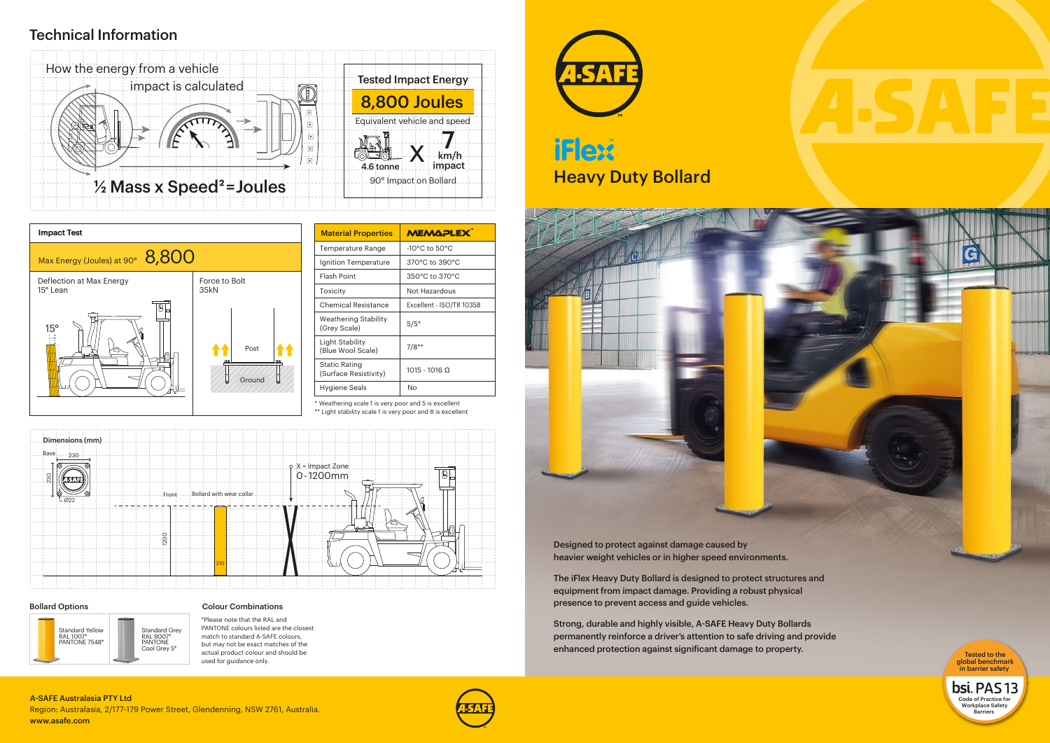\*Please note that the RAL and PANTONE colours listed are the closest match to standard A-SAFE colours, but may not be exact matches of the actual product colour and should be used for guidance only.

# Technical Information

| <b>Material Properties</b>                  | <b>MEMAPLEX</b>                    |
|---------------------------------------------|------------------------------------|
| <b>Temperature Range</b>                    | $-10^{\circ}$ C to $50^{\circ}$ C  |
| Ignition Temperature                        | $370^{\circ}$ C to $390^{\circ}$ C |
| <b>Flash Point</b>                          | $350^{\circ}$ C to $370^{\circ}$ C |
| Toxicity                                    | Not Hazardous                      |
| <b>Chemical Resistance</b>                  | Excellent - ISO/TR 10358           |
| <b>Weathering Stability</b><br>(Grey Scale) | $5/5*$                             |
| Light Stability<br>(Blue Wool Scale)        | $7/8**$                            |
| Static Rating<br>(Surface Resistivity)      | 1015 - 1016 0                      |
| Hygiene Seals                               | Nο                                 |



# **Heavy Duty Bollard THext**



### Region: Australasia, 2/177-179 Power Street, Glendenning, NSW 2761, Australia. Barriers **A-SAFE** And the control of the control of the control of the control of the control of the control of the control of the control of t www.asafe.com A-SAFE Australasia PTY Ltd









### Bollard Options **Colour Colour Combinations**

Designed to protect against damage caused by heavier weight vehicles or in higher speed environments.

The iFlex Heavy Duty Bollard is designed to protect structures and equipment from impact damage. Providing a robust physical presence to prevent access and guide vehicles.

Strong, durable and highly visible, A-SAFE Heavy Duty Bollards permanently reinforce a driver's attention to safe driving and provide enhanced protection against significant damage to property.